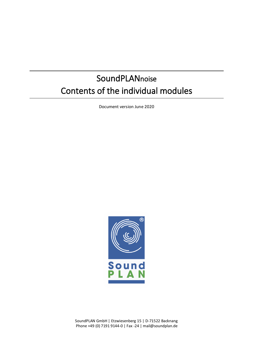# **SoundPLANnoise** Contents of the individual modules

Document version June 2020



SoundPLAN GmbH | Etzwiesenberg 15 | D-71522 Backnang Phone +49 (0) 7191 9144-0 | Fax -24 | [mail@soundplan.de](mailto:mail@soundplan.de)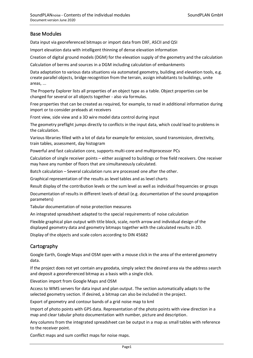# Base Modules

Data input via georeferenced bitmaps or import data from DXF, ASCII and QSI

Import elevation data with intelligent thinning of dense elevation information

Creation of digital ground models (DGM) for the elevation supply of the geometry and the calculation

Calculation of berms and sources in a DGM including calculation of embankments

Data adaptation to various data situations via automated geometry, building and elevation tools, e.g. create parallel objects, bridge recognition from the terrain, assign inhabitants to buildings, unite areas, ...

The Property Explorer lists all properties of an object type as a table. Object properties can be changed for several or all objects together - also via formulas.

Free properties that can be created as required, for example, to read in additional information during import or to consider preloads at receivers

Front view, side view and a 3D wire model data control during input

The geometry preflight jumps directly to conflicts in the input data, which could lead to problems in the calculation.

Various libraries filled with a lot of data for example for emission, sound transmission, directivity, train tables, assessment, day histogram

Powerful and fast calculation core, supports multi-core and multiprocessor PCs

Calculation of single receiver points – either assigned to buildings or free field receivers. One receiver may have any number of floors that are simultaneously calculated.

Batch calculation – Several calculation runs are processed one after the other.

Graphical representation of the results as level tables and as level charts

Result display of the contribution levels or the sum level as well as individual frequencies or groups

Documentation of results in different levels of detail (e.g. documentation of the sound propagation parameters)

Tabular documentation of noise protection measures

An integrated spreadsheet adapted to the special requirements of noise calculation

Flexible graphical plan output with title block, scale, north arrow and individual design of the displayed geometry data and geometry bitmaps together with the calculated results in 2D.

Display of the objects and scale colors according to DIN 45682

#### **Cartography**

Google Earth, Google Maps and OSM open with a mouse click in the area of the entered geometry data.

If the project does not yet contain any geodata, simply select the desired area via the address search and deposit a georeferenced bitmap as a basis with a single click.

Elevation import from Google Maps and OSM

Access to WMS servers for data input and plan output. The section automatically adapts to the selected geometry section. If desired, a bitmap can also be included in the project.

Export of geometry and contour bands of a grid noise map to kml

Import of photo points with GPS data. Representation of the photo points with view direction in a map and clear tabular photo documentation with number, picture and description.

Any columns from the integrated spreadsheet can be output in a map as small tables with reference to the receiver point.

Conflict maps and sum conflict maps for noise maps.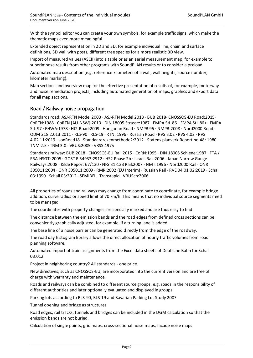With the symbol editor you can create your own symbols, for example traffic signs, which make the thematic maps even more meaningful.

Extended object representation in 2D and 3D, for example individual line, chain and surface definitions, 3D wall with posts, different tree species for a more realistic 3D view.

Import of measured values (ASCII) into a table or as an aerial measurement map, for example to superimpose results from other programs with SoundPLAN results or to consider a preload.

Automated map description (e.g. reference kilometers of a wall, wall heights, source number, kilometer marking).

Map sections and overview map for the effective presentation of results of, for example, motorway and noise remediation projects, including automated generation of maps, graphics and export data for all map sections.

## Road / Railway noise propagation

Standards road: ASJ-RTN Model 2003 · ASJ-RTN Model 2013 · BUB:2018· CNOSSOS-EU Road:2015· CoRTN:1988 · CoRTN [AU-NSW]:2013 · DIN 18005 Strasse:1987 · EMPA StL 86 · EMPA StL 86+ · EMPA StL 97 · FHWA:1978 · HJ2.Road:2009 · Hungarian Road · NMPB 96 · NMPB 2008 · Nord2000 Road · ODM 218.2.013:2011 · RLS-90 · RLS-19 · RTN: 1996 · Russian Road · RVS 3.02 · RVS 4.02 · RVS 4.02.11:2019 · sonRoad18 · Standaardrekenmethode2:2012 · Statens planverk Report no.48: 1980 · TNM 2.5 · TNM 3.0 · VBUS:2005 · VRSS:1975

Standards railway: BUB:2018 · CNOSSOS-EU Rail:2015 · CoRN:1995 · DIN 18005 Schiene:1987 · FTA / FRA-HSGT: 2005 · GOST R 54933:2912 · HS2 Phase 2b · Israeli Rail:2006 · Japan Narrow Gauge Railways:2008 · Kilde Report 67/130 · NFS 31-133 Rail:2007 · NMT:1996 · Nord2000 Rail · ONR 305011:2004 · ONR 305011:2009 · RMR:2002 (EU Interim) · Russian Rail · RVE 04.01.02:2019 · Schall 03:1990 · Schall 03:2012 · SEMIBEL · Transrapid · VBUSch:2006

All properties of roads and railways may change from coordinate to coordinate, for example bridge addition, curve radius or speed limit of 70 km/h. This means that no individual source segments need to be managed.

The coordinates with property changes are specially marked and are thus easy to find.

The distance between the emission bands and the road edges from defined cross sections can be conveniently graphically adjusted, for example, if a turning lane is added.

The base line of a noise barrier can be generated directly from the edge of the roadway.

The road day histogram library allows the direct allocation of hourly traffic volumes from road planning software.

Automated import of train assignments from the Excel data sheets of Deutsche Bahn for Schall 03:012

Project in neighboring country? All standards - one price.

New directives, such as CNOSSOS-EU, are incorporated into the current version and are free of charge with warranty and maintenance.

Roads and railways can be combined to different source groups, e.g. roads in the responsibility of different authorities and later optionally evaluated and displayed in groups.

Parking lots according to RLS-90, RLS-19 and Bavarian Parking Lot Study 2007

Tunnel opening and bridge as structures

Road edges, rail tracks, tunnels and bridges can be included in the DGM calculation so that the emission bands are not buried.

Calculation of single points, grid maps, cross-sectional noise maps, facade noise maps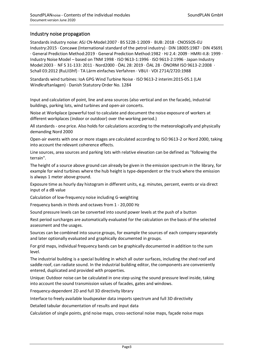#### Industry noise propagation

Standards industry noise: ASJ CN-Model:2007 · BS 5228-1:2009 · BUB: 2018 · CNOSSOS-EU Industry:2015 · Concawe (International standard of the petrol industry) · DIN 18005:1987 · DIN 45691 · General Prediction Method:2019 · General Prediction Method:1982 · HJ 2.4: 2009 · HMRI-II.8: 1999 · Industry Noise Model – based on TNM 1998 · ISO 9613-1:1996 · ISO 9613-2:1996 · Japan Industry Model:2003 · NF S 31-133: 2011 · Nord2000 · ÖAL 28: 2019 · ÖAL 28 · ÖNORM ISO 9613-2:2008 · Schall 03:2012 (RuLII3hf) · TA Lärm einfaches Verfahren · VBUI · VDI 2714/2720:1988

Standards wind turbines: IoA GPG Wind Turbine Noise · ISO 9613-2 interim:2015-05.1 (LAI Windkraftanlagen) · Danish Statutory Order No. 1284

Input and calculation of point, line and area sources (also vertical and on the facade), industrial buildings, parking lots, wind turbines and open-air concerts.

Noise at Workplace (powerful tool to calculate and document the noise exposure of workers at different workplaces (indoor or outdoor) over the working period.)

All standards - one price. Also holds for calculations according to the meteorologically and physically demanding Nord 2000

Open-air events with one or more stages are calculated according to ISO 9613-2 or Nord 2000, taking into account the relevant coherence effects.

Line sources, area sources and parking lots with relative elevation can be defined as "following the terrain".

The height of a source above ground can already be given in the emission spectrum in the library, for example for wind turbines where the hub height is type-dependent or the truck where the emission is always 1 meter above ground.

Exposure time as hourly day histogram in different units, e.g. minutes, percent, events or via direct input of a dB value

Calculation of low-frequency noise including G-weighting

Frequency bands in thirds and octaves from 1 - 20,000 Hz

Sound pressure levels can be converted into sound power levels at the push of a button

Rest period surcharges are automatically evaluated for the calculation on the basis of the selected assessment and the usages.

Sources can be combined into source groups, for example the sources of each company separately and later optionally evaluated and graphically documented in groups.

For grid maps, individual frequency bands can be graphically documented in addition to the sum level.

The industrial building is a special building in which all outer surfaces, including the shed roof and saddle roof, can radiate sound. In the industrial building editor, the components are conveniently entered, duplicated and provided with properties.

Unique: Outdoor noise can be calculated in one step using the sound pressure level inside, taking into account the sound transmission values of facades, gates and windows.

Frequency-dependent 2D and full 3D directivity library

Interface to freely available loudspeaker data imports spectrum and full 3D directivity

Detailed tabular documentation of results and input data

Calculation of single points, grid noise maps, cross-sectional noise maps, façade noise maps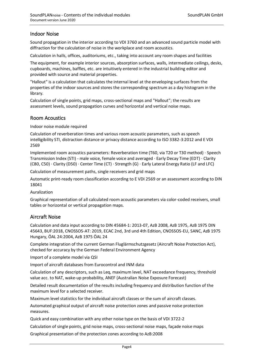## Indoor Noise

Sound propagation in the interior according to VDI 3760 and an advanced sound particle model with diffraction for the calculation of noise in the workplace and room acoustics.

Calculation in halls, offices, auditoriums, etc., taking into account any room shapes and facilities

The equipment, for example interior sources, absorption surfaces, walls, intermediate ceilings, desks, cupboards, machines, baffles, etc. are intuitively entered in the industrial building editor and provided with source and material properties.

"Hallout" is a calculation that calculates the internal level at the enveloping surfaces from the properties of the indoor sources and stores the corresponding spectrum as a day histogram in the library.

Calculation of single points, grid maps, cross-sectional maps and "Hallout"; the results are assessment levels, sound propagation curves and horizontal and vertical noise maps.

#### Room Acoustics

Indoor noise module required

Calculation of reverberation times and various room acoustic parameters, such as speech intelligibility STI, distraction distance or privacy distance according to ISO 3382-3:2012 and E VDI 2569

Implemented room acoustics parameters: Reverberation time (T60, via T20 or T30 method) · Speech Transmission Index (STI) - male voice, female voice and averaged · Early Decay Time (EDT) · Clarity (C80, C50) · Clarity (D50) · Center Time (CT) · Strength (G) · Early Lateral Energy Ratio (LF and LFC)

Calculation of measurement paths, single receivers and grid maps

Automatic print-ready room classification according to E VDI 2569 or an assessment according to DIN 18041

Auralization

Graphical representation of all calculated room acoustic parameters via color-coded receivers, small tables or horizontal or vertical propagation maps.

#### Aircraft Noise

Calculation and data input according to DIN 45684-1: 2013-07, AzB 2008, AzB 1975, AzB 1975 DIN 45643, BUF:2018, CNOSSOS-AT: 2019, ECAC 2nd, 3rd und 4th Edition, CNOSSOS-EU, SANC, AzB 1975 Hungary, ÖAL 24:2004, AzB 1975 ÖAL 24

Complete integration of the current German Fluglärmschutzgesetz (Aircraft Noise Protection Act), checked for accuracy by the German Federal Environment Agency

Import of a complete model via QSI

Import of aircraft databases from Eurocontrol and INM data

Calculation of any descriptors, such as Leq, maximum level, NAT exceedance frequency, threshold value acc. to NAT, wake-up probability, ANEF (Australian Noise Exposure Forecast)

Detailed result documentation of the results including frequency and distribution function of the maximum level for a selected receiver.

Maximum level statistics for the individual aircraft classes or the sum of aircraft classes.

Automated graphical output of aircraft noise protection zones and passive noise protection measures.

Quick and easy combination with any other noise type on the basis of VDI 3722-2

Calculation of single points, grid noise maps, cross-sectional noise maps, façade noise maps Graphical presentation of the protection zones according to AzB:2008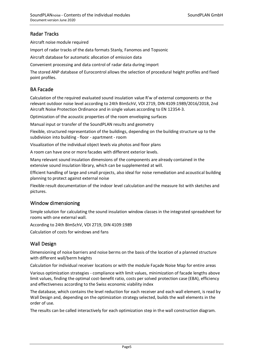# Radar Tracks

Aircraft noise module required

Import of radar tracks of the data formats Stanly, Fanomos and Topsonic

Aircraft database for automatic allocation of emission data

Convenient processing and data control of radar data during import

The stored ANP database of Eurocontrol allows the selection of procedural height profiles and fixed point profiles.

## BA Facade

Calculation of the required evaluated sound insulation value R'w of external components or the relevant outdoor noise level according to 24th BImSchV, VDI 2719, DIN 4109:1989/2016/2018, 2nd Aircraft Noise Protection Ordinance and in single values according to EN 12354-3.

Optimization of the acoustic properties of the room enveloping surfaces

Manual input or transfer of the SoundPLAN results and geometry

Flexible, structured representation of the buildings, depending on the building structure up to the subdivision into building - floor - apartment - room

Visualization of the individual object levels via photos and floor plans

A room can have one or more facades with different exterior levels.

Many relevant sound insulation dimensions of the components are already contained in the extensive sound insulation library, which can be supplemented at will.

Efficient handling of large and small projects, also ideal for noise remediation and acoustical building planning to protect against external noise

Flexible result documentation of the indoor level calculation and the measure list with sketches and pictures.

## Window dimensioning

Simple solution for calculating the sound insulation window classes in the integrated spreadsheet for rooms with one external wall.

According to 24th BImSchV, VDI 2719, DIN 4109:1989

Calculation of costs for windows and fans

## Wall Design

Dimensioning of noise barriers and noise berms on the basis of the location of a planned structure with different wall/berm heights

Calculation for individual receiver locations or with the module Façade Noise Map for entire areas

Various optimization strategies - compliance with limit values, minimization of facade lengths above limit values, finding the optimal cost-benefit ratio, costs per solved protection case (EBA), efficiency and effectiveness according to the Swiss economic viability index

The database, which contains the level reduction for each receiver and each wall element, is read by Wall Design and, depending on the optimization strategy selected, builds the wall elements in the order of use.

The results can be called interactively for each optimization step in the wall construction diagram.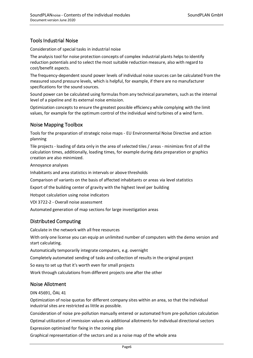# Tools Industrial Noise

Consideration of special tasks in industrial noise

The analysis tool for noise protection concepts of complex industrial plants helps to identify reduction potentials and to select the most suitable reduction measure, also with regard to cost/benefit aspects.

The frequency-dependent sound power levels of individual noise sources can be calculated from the measured sound pressure levels, which is helpful, for example, if there are no manufacturer specifications for the sound sources.

Sound power can be calculated using formulas from any technical parameters, such as the internal level of a pipeline and its external noise emission.

Optimization concepts to ensure the greatest possible efficiency while complying with the limit values, for example for the optimum control of the individual wind turbines of a wind farm.

## Noise Mapping Toolbox

Tools for the preparation of strategic noise maps - EU Environmental Noise Directive and action planning

Tile projects - loading of data only in the area of selected tiles / areas - minimizes first of all the calculation times, additionally, loading times, for example during data preparation or graphics creation are also minimized.

Annoyance analyses

Inhabitants and area statistics in intervals or above thresholds

Comparison of variants on the basis of affected inhabitants or areas via level statistics

Export of the building center of gravity with the highest level per building

Hotspot calculation using noise indicators

VDI 3722-2 - Overall noise assessment

Automated generation of map sections for large investigation areas

## Distributed Computing

Calculate in the network with all free resources

With only one license you can equip an unlimited number of computers with the demo version and start calculating.

Automatically temporarily integrate computers, e.g. overnight

Completely automated sending of tasks and collection of results in the original project

So easy to set up that it's worth even for small projects

Work through calculations from different projects one after the other

#### Noise Allotment

DIN 45691, ÖAL 41

Optimization of noise quotas for different company sites within an area, so that the individual industrial sites are restricted as little as possible.

Consideration of noise pre-pollution manually entered or automated from pre-pollution calculation

Optimal utilization of immission values via additional allotments for individual directional sectors

Expression optimized for fixing in the zoning plan

Graphical representation of the sectors and as a noise map of the whole area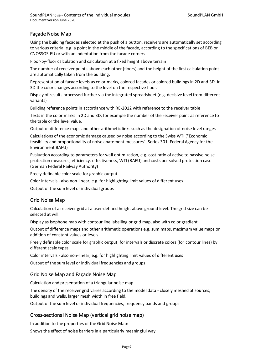# Façade Noise Map

Using the building facades selected at the push of a button, receivers are automatically set according to various criteria, e.g. a point in the middle of the facade, according to the specifications of BEB or CNOSSOS-EU or with an indentation from the facade corners.

Floor-by-floor calculation and calculation at a fixed height above terrain

The number of receiver points above each other (floors) and the height of the first calculation point are automatically taken from the building.

Representation of facade levels as color marks, colored facades or colored buildings in 2D and 3D. In 3D the color changes according to the level on the respective floor.

Display of results processed further via the integrated spreadsheet (e.g. decisive level from different variants)

Building reference points in accordance with RE-2012 with reference to the receiver table

Texts in the color marks in 2D and 3D, for example the number of the receiver point as reference to the table or the level value.

Output of difference maps and other arithmetic links such as the designation of noise level ranges

Calculations of the economic damage caused by noise according to the Swiss WTI ("Economic feasibility and proportionality of noise abatement measures", Series 301, Federal Agency for the Environment BAFU)

Evaluation according to parameters for wall optimization, e.g. cost ratio of active to passive noise protection measures, efficiency, effectiveness, WTI (BAFU) and costs per solved protection case (German Federal Railway Authority)

Freely definable color scale for graphic output

Color intervals - also non-linear, e.g. for highlighting limit values of different uses

Output of the sum level or individual groups

#### Grid Noise Map

Calculation of a receiver grid at a user-defined height above ground level. The grid size can be selected at will.

Display as isophone map with contour line labelling or grid map, also with color gradient

Output of difference maps and other arithmetic operations e.g. sum maps, maximum value maps or addition of constant values or levels

Freely definable color scale for graphic output, for intervals or discrete colors (for contour lines) by different scale types

Color intervals - also non-linear, e.g. for highlighting limit values of different uses

Output of the sum level or individual frequencies and groups

#### Grid Noise Map and Façade Noise Map

Calculation and presentation of a triangular noise map.

The density of the receiver grid varies according to the model data - closely meshed at sources, buildings and walls, larger mesh width in free field.

Output of the sum level or individual frequencies, frequency bands and groups

#### Cross-sectional Noise Map (vertical grid noise map)

In addition to the properties of the Grid Noise Map:

Shows the effect of noise barriers in a particularly meaningful way